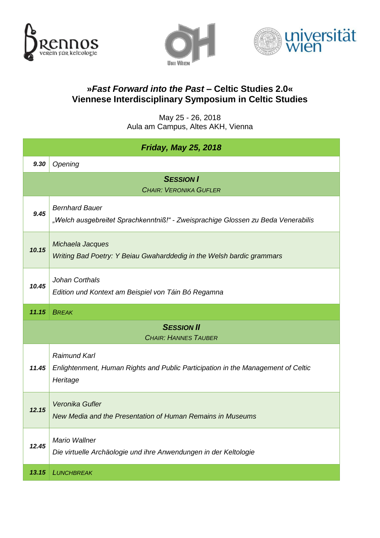





## **»***Fast Forward into the Past* **– Celtic Studies 2.0« Viennese Interdisciplinary Symposium in Celtic Studies**

May 25 - 26, 2018 Aula am Campus, Altes AKH, Vienna

| <b>Friday, May 25, 2018</b>                      |                                                                                                                     |  |
|--------------------------------------------------|---------------------------------------------------------------------------------------------------------------------|--|
| 9.30                                             | Opening                                                                                                             |  |
|                                                  | <b>SESSION I</b><br><b>CHAIR: VERONIKA GUFLER</b>                                                                   |  |
| 9.45                                             | <b>Bernhard Bauer</b><br>"Welch ausgebreitet Sprachkenntniß!" - Zweisprachige Glossen zu Beda Venerabilis           |  |
| 10.15                                            | Michaela Jacques<br>Writing Bad Poetry: Y Beiau Gwaharddedig in the Welsh bardic grammars                           |  |
| 10.45                                            | Johan Corthals<br>Edition und Kontext am Beispiel von Táin Bó Regamna                                               |  |
| 11.15                                            | <b>BREAK</b>                                                                                                        |  |
| <b>SESSION II</b><br><b>CHAIR: HANNES TAUBER</b> |                                                                                                                     |  |
| 11.45                                            | <b>Raimund Karl</b><br>Enlightenment, Human Rights and Public Participation in the Management of Celtic<br>Heritage |  |
| 12.15                                            | Veronika Gufler<br>New Media and the Presentation of Human Remains in Museums                                       |  |
| 12.45                                            | <b>Mario Wallner</b><br>Die virtuelle Archäologie und ihre Anwendungen in der Keltologie                            |  |
| 13.15                                            | <b>LUNCHBREAK</b>                                                                                                   |  |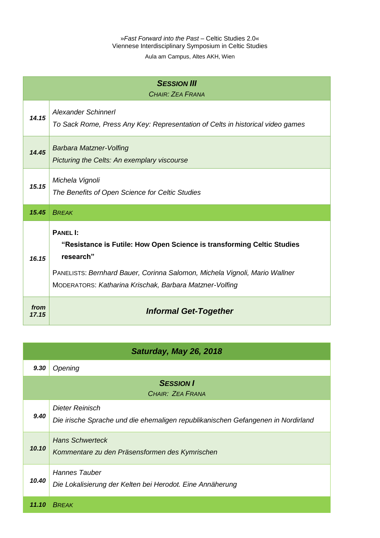Aula am Campus, Altes AKH, Wien

| <b>SESSION III</b><br>CHAIR: ZEA FRANA |                                                                                                                                                                                                                                                 |  |
|----------------------------------------|-------------------------------------------------------------------------------------------------------------------------------------------------------------------------------------------------------------------------------------------------|--|
| 14.15                                  | <b>Alexander Schinnerl</b><br>To Sack Rome, Press Any Key: Representation of Celts in historical video games                                                                                                                                    |  |
| 14.45                                  | <b>Barbara Matzner-Volfing</b><br>Picturing the Celts: An exemplary viscourse                                                                                                                                                                   |  |
| 15.15                                  | Michela Vignoli<br>The Benefits of Open Science for Celtic Studies                                                                                                                                                                              |  |
| 15.45                                  | <b>BREAK</b>                                                                                                                                                                                                                                    |  |
| 16.15                                  | <b>PANEL I:</b><br>"Resistance is Futile: How Open Science is transforming Celtic Studies<br>research"<br>PANELISTS: Bernhard Bauer, Corinna Salomon, Michela Vignoli, Mario Wallner<br>MODERATORS: Katharina Krischak, Barbara Matzner-Volfing |  |
| from<br>17.15                          | <b>Informal Get-Together</b>                                                                                                                                                                                                                    |  |

| Saturday, May 26, 2018               |                                                                                                            |  |
|--------------------------------------|------------------------------------------------------------------------------------------------------------|--|
| 9.30                                 | Opening                                                                                                    |  |
| <b>SESSION I</b><br>CHAIR: ZEA FRANA |                                                                                                            |  |
| 9.40                                 | <b>Dieter Reinisch</b><br>Die irische Sprache und die ehemaligen republikanischen Gefangenen in Nordirland |  |
| 10.10                                | <b>Hans Schwerteck</b><br>Kommentare zu den Präsensformen des Kymrischen                                   |  |
| 10.40                                | <b>Hannes Tauber</b><br>Die Lokalisierung der Kelten bei Herodot. Eine Annäherung                          |  |
| 11.10                                | <b>BRFAK</b>                                                                                               |  |